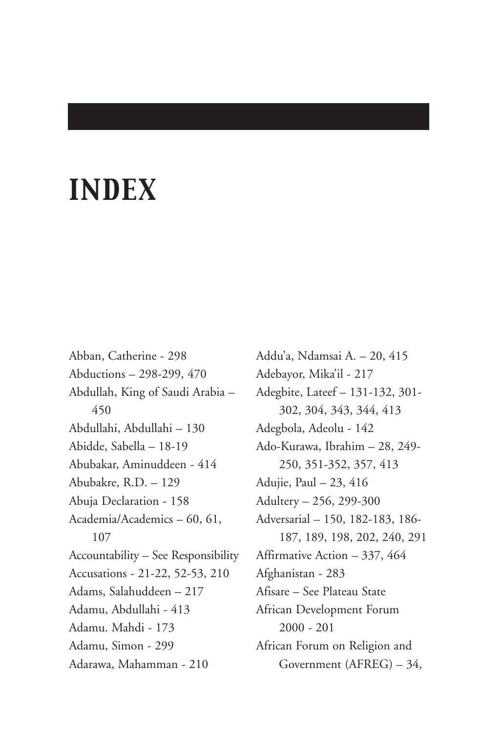# *INDEX*

Abban, Catherine - 298 Abductions – 298-299, 470 Abdullah, King of Saudi Arabia – 450 Abdullahi, Abdullahi – 130 Abidde, Sabella – 18-19 Abubakar, Aminuddeen - 414 Abubakre, R.D. – 129 Abuja Declaration - 158 Academia/Academics – 60, 61, 107 Accountability – See Responsibility Accusations - 21-22, 52-53, 210 Adams, Salahuddeen – 217 Adamu, Abdullahi - 413 Adamu. Mahdi - 173 Adamu, Simon - 299 Adarawa, Mahamman - 210

Addu'a, Ndamsai A. – 20, 415 Adebayor, Mika'il - 217 Adegbite, Lateef – 131-132, 301- 302, 304, 343, 344, 413 Adegbola, Adeolu - 142 Ado-Kurawa, Ibrahim – 28, 249- 250, 351-352, 357, 413 Adujie, Paul – 23, 416 Adultery – 256, 299-300 Adversarial – 150, 182-183, 186- 187, 189, 198, 202, 240, 291 Affirmative Action – 337, 464 Afghanistan - 283 Afisare – See Plateau State African Development Forum 2000 - 201 African Forum on Religion and Government (AFREG) – 34,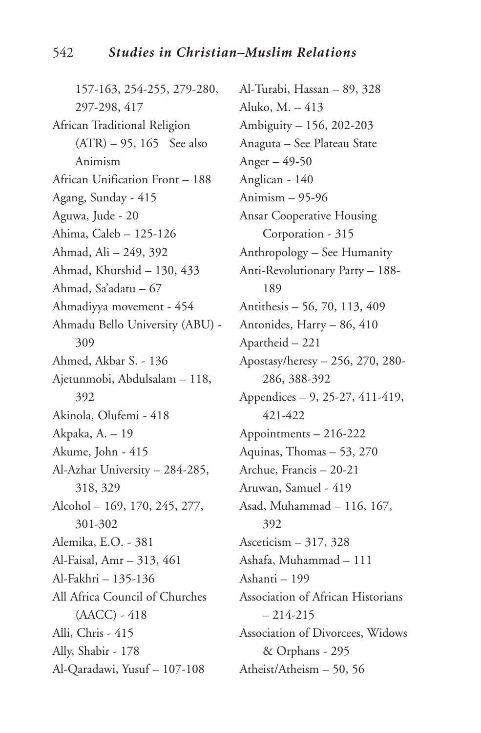157-163, 254-255, 279-280, 297-298, 417 African Traditional Religion  $(ATR)$  – 95, 165 See also Animism African Unification Front – 188 Agang, Sunday - 415 Aguwa, Jude - 20 Ahima, Caleb – 125-126 Ahmad, Ali – 249, 392 Ahmad, Khurshid – 130, 433 Ahmad, Sa'adatu – 67 Ahmadiyya movement - 454 Ahmadu Bello University (ABU) - 309 Ahmed, Akbar S. - 136 Ajetunmobi, Abdulsalam – 118, 392 Akinola, Olufemi - 418 Akpaka, A. – 19 Akume, John - 415 Al-Azhar University – 284-285, 318, 329 Alcohol – 169, 170, 245, 277, 301-302 Alemika, E.O. - 381 Al-Faisal, Amr – 313, 461 Al-Fakhri – 135-136 All Africa Council of Churches (AACC) - 418 Alli, Chris - 415 Ally, Shabir - 178 Al-Qaradawi, Yusuf – 107-108

Al-Turabi, Hassan – 89, 328 Aluko, M. – 413 Ambiguity – 156, 202-203 Anaguta – See Plateau State Anger – 49-50 Anglican - 140 Animism – 95-96 Ansar Cooperative Housing Corporation - 315 Anthropology – See Humanity Anti-Revolutionary Party – 188- 189 Antithesis – 56, 70, 113, 409 Antonides, Harry – 86, 410 Apartheid – 221 Apostasy/heresy – 256, 270, 280- 286, 388-392 Appendices – 9, 25-27, 411-419, 421-422 Appointments – 216-222 Aquinas, Thomas – 53, 270 Archue, Francis – 20-21 Aruwan, Samuel - 419 Asad, Muhammad – 116, 167, 392 Asceticism – 317, 328 Ashafa, Muhammad – 111 Ashanti – 199 Association of African Historians  $-214-215$ Association of Divorcees, Widows & Orphans - 295 Atheist/Atheism – 50, 56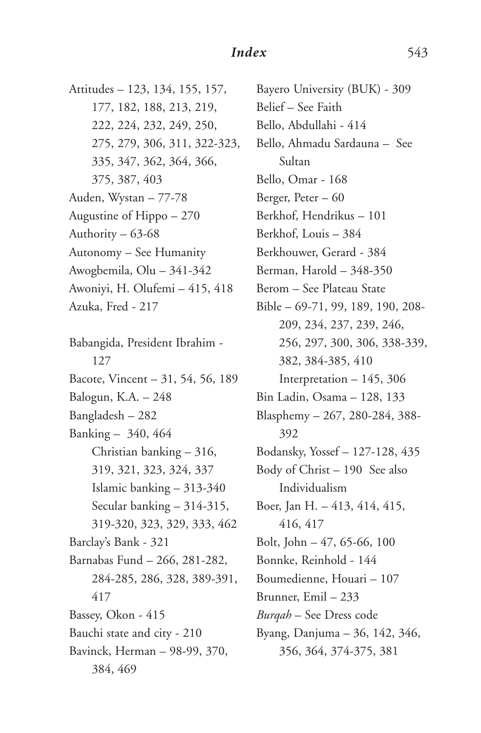Attitudes – 123, 134, 155, 157, 177, 182, 188, 213, 219, 222, 224, 232, 249, 250, 275, 279, 306, 311, 322-323, 335, 347, 362, 364, 366, 375, 387, 403 Auden, Wystan – 77-78 Augustine of Hippo – 270 Authority – 63-68 Autonomy – See Humanity Awogbemila, Olu – 341-342 Awoniyi, H. Olufemi – 415, 418 Azuka, Fred - 217 Babangida, President Ibrahim - 127 Bacote, Vincent – 31, 54, 56, 189 Balogun, K.A. – 248 Bangladesh – 282 Banking – 340, 464 Christian banking – 316, 319, 321, 323, 324, 337 Islamic banking – 313-340 Secular banking – 314-315, 319-320, 323, 329, 333, 462 Barclay's Bank - 321 Barnabas Fund – 266, 281-282, 284-285, 286, 328, 389-391, 417 Bassey, Okon - 415 Bauchi state and city - 210 Bavinck, Herman – 98-99, 370, 384, 469

Bayero University (BUK) - 309 Belief – See Faith Bello, Abdullahi - 414 Bello, Ahmadu Sardauna – See Sultan Bello, Omar - 168 Berger, Peter – 60 Berkhof, Hendrikus – 101 Berkhof, Louis – 384 Berkhouwer, Gerard - 384 Berman, Harold – 348-350 Berom – See Plateau State Bible – 69-71, 99, 189, 190, 208- 209, 234, 237, 239, 246, 256, 297, 300, 306, 338-339, 382, 384-385, 410 Interpretation – 145, 306 Bin Ladin, Osama – 128, 133 Blasphemy – 267, 280-284, 388- 392 Bodansky, Yossef – 127-128, 435 Body of Christ – 190 See also Individualism Boer, Jan H. – 413, 414, 415, 416, 417 Bolt, John – 47, 65-66, 100 Bonnke, Reinhold - 144 Boumedienne, Houari – 107 Brunner, Emil – 233 *Burqah* – See Dress code Byang, Danjuma – 36, 142, 346, 356, 364, 374-375, 381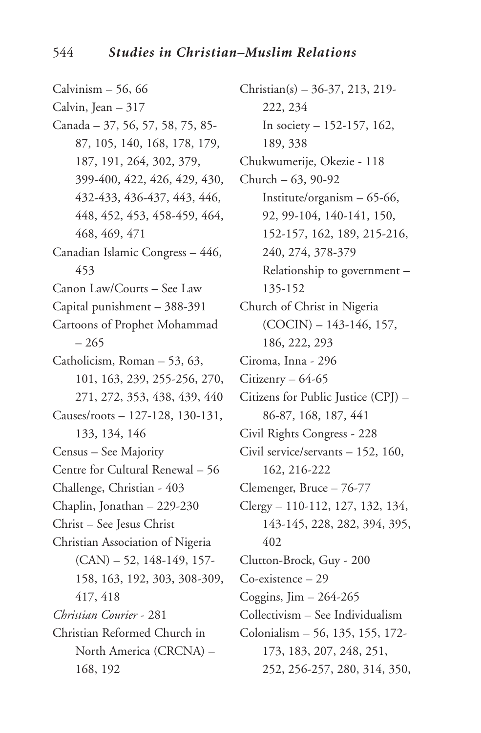Calvinism  $-56, 66$ Calvin, Jean  $-317$ Canada – 37, 56, 57, 58, 75, 85- 87, 105, 140, 168, 178, 179, 187, 191, 264, 302, 379, 399-400, 422, 426, 429, 430, 432-433, 436-437, 443, 446, 448, 452, 453, 458-459, 464, 468, 469, 471 Canadian Islamic Congress – 446, 453 Canon Law/Courts – See Law Capital punishment – 388-391 Cartoons of Prophet Mohammad – 265 Catholicism, Roman – 53, 63, 101, 163, 239, 255-256, 270, 271, 272, 353, 438, 439, 440 Causes/roots – 127-128, 130-131, 133, 134, 146 Census – See Majority Centre for Cultural Renewal – 56 Challenge, Christian - 403 Chaplin, Jonathan – 229-230 Christ – See Jesus Christ Christian Association of Nigeria  $(CAN)$  – 52, 148-149, 157-158, 163, 192, 303, 308-309, 417, 418 *Christian Courier* - 281 Christian Reformed Church in North America (CRCNA) – 168, 192

Christian(s) – 36-37, 213, 219- 222, 234 In society – 152-157, 162, 189, 338 Chukwumerije, Okezie - 118 Church – 63, 90-92 Institute/organism – 65-66, 92, 99-104, 140-141, 150, 152-157, 162, 189, 215-216, 240, 274, 378-379 Relationship to government – 135-152 Church of Christ in Nigeria  $(COCIN) - 143-146, 157,$ 186, 222, 293 Ciroma, Inna - 296 Citizenry – 64-65 Citizens for Public Justice (CPJ) – 86-87, 168, 187, 441 Civil Rights Congress - 228 Civil service/servants – 152, 160, 162, 216-222 Clemenger, Bruce – 76-77 Clergy – 110-112, 127, 132, 134, 143-145, 228, 282, 394, 395, 402 Clutton-Brock, Guy - 200 Co-existence – 29 Coggins,  $\text{Jim} - 264 - 265$ Collectivism – See Individualism Colonialism – 56, 135, 155, 172- 173, 183, 207, 248, 251, 252, 256-257, 280, 314, 350,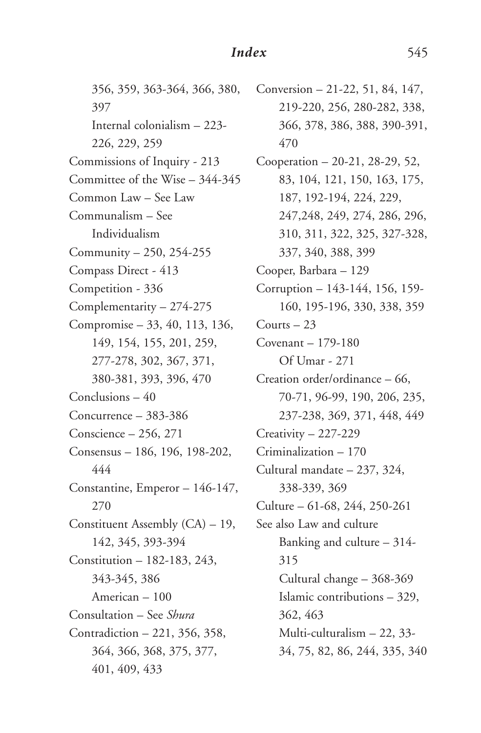356, 359, 363-364, 366, 380, 397 Internal colonialism – 223- 226, 229, 259 Commissions of Inquiry - 213 Committee of the Wise – 344-345 Common Law – See Law Communalism – See Individualism Community – 250, 254-255 Compass Direct - 413 Competition - 336 Complementarity – 274-275 Compromise – 33, 40, 113, 136, 149, 154, 155, 201, 259, 277-278, 302, 367, 371, 380-381, 393, 396, 470 Conclusions – 40 Concurrence – 383-386 Conscience – 256, 271 Consensus – 186, 196, 198-202, 444 Constantine, Emperor – 146-147, 270 Constituent Assembly (CA) – 19, 142, 345, 393-394 Constitution – 182-183, 243, 343-345, 386 American – 100 Consultation – See *Shura* Contradiction – 221, 356, 358, 364, 366, 368, 375, 377, 401, 409, 433

Conversion – 21-22, 51, 84, 147, 219-220, 256, 280-282, 338, 366, 378, 386, 388, 390-391, 470 Cooperation – 20-21, 28-29, 52, 83, 104, 121, 150, 163, 175, 187, 192-194, 224, 229, 247,248, 249, 274, 286, 296, 310, 311, 322, 325, 327-328, 337, 340, 388, 399 Cooper, Barbara – 129 Corruption – 143-144, 156, 159- 160, 195-196, 330, 338, 359 Courts – 23 Covenant – 179-180 Of Umar - 271 Creation order/ordinance – 66, 70-71, 96-99, 190, 206, 235, 237-238, 369, 371, 448, 449 Creativity – 227-229 Criminalization – 170 Cultural mandate – 237, 324, 338-339, 369 Culture – 61-68, 244, 250-261 See also Law and culture Banking and culture – 314- 315 Cultural change – 368-369 Islamic contributions – 329, 362, 463 Multi-culturalism – 22, 33- 34, 75, 82, 86, 244, 335, 340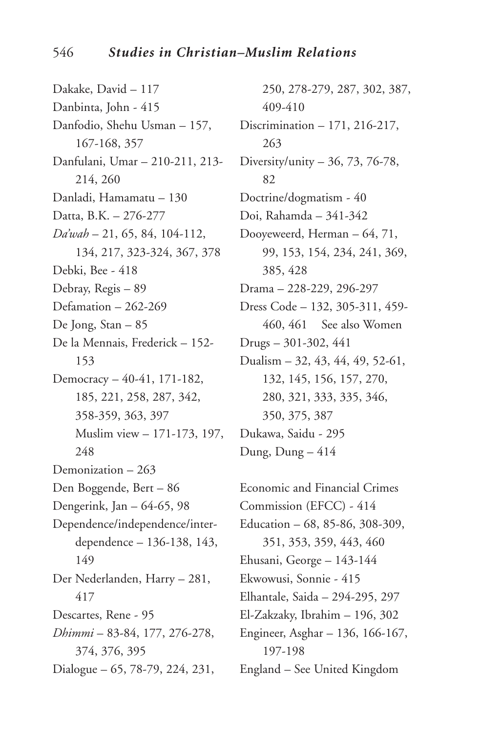Dakake, David – 117 Danbinta, John - 415 Danfodio, Shehu Usman – 157, 167-168, 357 Danfulani, Umar – 210-211, 213- 214, 260 Danladi, Hamamatu – 130 Datta, B.K. – 276-277 *Da'wah* – 21, 65, 84, 104-112, 134, 217, 323-324, 367, 378 Debki, Bee - 418 Debray, Regis – 89 Defamation – 262-269 De Jong, Stan – 85 De la Mennais, Frederick – 152- 153 Democracy – 40-41, 171-182, 185, 221, 258, 287, 342, 358-359, 363, 397 Muslim view – 171-173, 197, 248 Demonization – 263 Den Boggende, Bert – 86 Dengerink, Jan – 64-65, 98 Dependence/independence/interdependence – 136-138, 143, 149 Der Nederlanden, Harry – 281, 417 Descartes, Rene - 95 *Dhimmi* – 83-84, 177, 276-278, 374, 376, 395 Dialogue – 65, 78-79, 224, 231,

250, 278-279, 287, 302, 387, 409-410 Discrimination – 171, 216-217, 263 Diversity/unity – 36, 73, 76-78, 82 Doctrine/dogmatism - 40 Doi, Rahamda – 341-342 Dooyeweerd, Herman – 64, 71, 99, 153, 154, 234, 241, 369, 385, 428 Drama – 228-229, 296-297 Dress Code – 132, 305-311, 459- 460, 461 See also Women Drugs – 301-302, 441 Dualism – 32, 43, 44, 49, 52-61, 132, 145, 156, 157, 270, 280, 321, 333, 335, 346, 350, 375, 387 Dukawa, Saidu - 295 Dung, Dung – 414

Economic and Financial Crimes Commission (EFCC) - 414 Education – 68, 85-86, 308-309, 351, 353, 359, 443, 460 Ehusani, George – 143-144 Ekwowusi, Sonnie - 415 Elhantale, Saida – 294-295, 297 El-Zakzaky, Ibrahim – 196, 302 Engineer, Asghar – 136, 166-167, 197-198 England – See United Kingdom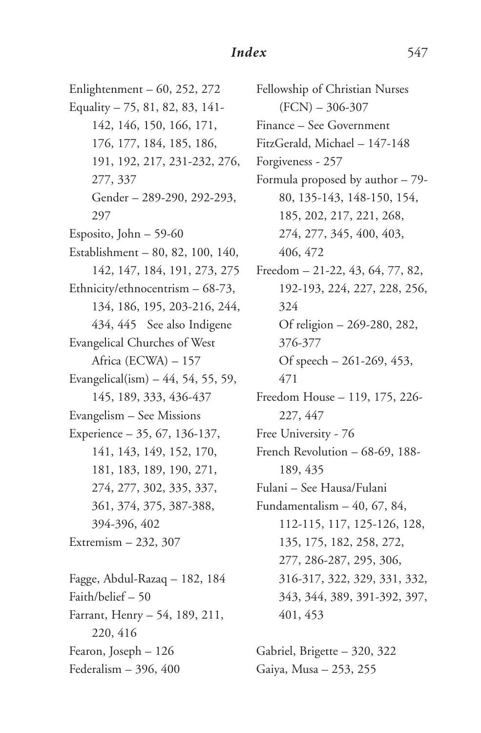Enlightenment – 60, 252, 272 Equality – 75, 81, 82, 83, 141- 142, 146, 150, 166, 171, 176, 177, 184, 185, 186, 191, 192, 217, 231-232, 276, 277, 337 Gender – 289-290, 292-293, 297 Esposito, John – 59-60 Establishment – 80, 82, 100, 140, 142, 147, 184, 191, 273, 275 Ethnicity/ethnocentrism – 68-73, 134, 186, 195, 203-216, 244, 434, 445 See also Indigene Evangelical Churches of West Africa (ECWA) – 157 Evangelical(ism)  $-44, 54, 55, 59$ , 145, 189, 333, 436-437 Evangelism – See Missions Experience – 35, 67, 136-137, 141, 143, 149, 152, 170, 181, 183, 189, 190, 271, 274, 277, 302, 335, 337, 361, 374, 375, 387-388, 394-396, 402 Extremism – 232, 307 Fagge, Abdul-Razaq – 182, 184 Faith/belief – 50 Farrant, Henry – 54, 189, 211, 220, 416 Fearon, Joseph – 126 Federalism – 396, 400

Fellowship of Christian Nurses  $(FCN) - 306-307$ Finance – See Government FitzGerald, Michael – 147-148 Forgiveness - 257 Formula proposed by author – 79- 80, 135-143, 148-150, 154, 185, 202, 217, 221, 268, 274, 277, 345, 400, 403, 406, 472 Freedom – 21-22, 43, 64, 77, 82, 192-193, 224, 227, 228, 256, 324 Of religion – 269-280, 282, 376-377 Of speech – 261-269, 453, 471 Freedom House – 119, 175, 226- 227, 447 Free University - 76 French Revolution – 68-69, 188- 189, 435 Fulani – See Hausa/Fulani Fundamentalism  $-40, 67, 84,$ 112-115, 117, 125-126, 128, 135, 175, 182, 258, 272, 277, 286-287, 295, 306, 316-317, 322, 329, 331, 332, 343, 344, 389, 391-392, 397, 401, 453

Gabriel, Brigette – 320, 322 Gaiya, Musa – 253, 255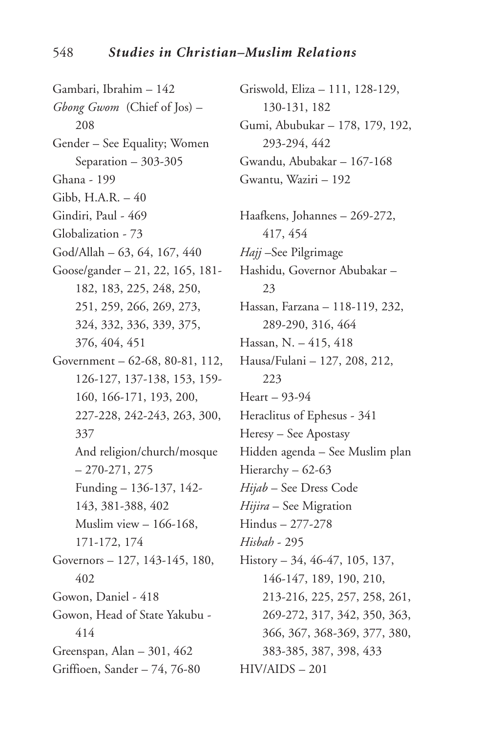Gambari, Ibrahim – 142 *Gbong Gwom* (Chief of Jos) – 208 Gender – See Equality; Women Separation – 303-305 Ghana - 199 Gibb, H.A.R. – 40 Gindiri, Paul - 469 Globalization - 73 God/Allah – 63, 64, 167, 440 Goose/gander – 21, 22, 165, 181- 182, 183, 225, 248, 250, 251, 259, 266, 269, 273, 324, 332, 336, 339, 375, 376, 404, 451 Government – 62-68, 80-81, 112, 126-127, 137-138, 153, 159- 160, 166-171, 193, 200, 227-228, 242-243, 263, 300, 337 And religion/church/mosque – 270-271, 275 Funding – 136-137, 142- 143, 381-388, 402 Muslim view – 166-168, 171-172, 174 Governors – 127, 143-145, 180, 402 Gowon, Daniel - 418 Gowon, Head of State Yakubu - 414 Greenspan, Alan – 301, 462 Griffioen, Sander – 74, 76-80

Griswold, Eliza – 111, 128-129, 130-131, 182 Gumi, Abubukar – 178, 179, 192, 293-294, 442 Gwandu, Abubakar – 167-168 Gwantu, Waziri – 192 Haafkens, Johannes – 269-272, 417, 454 *Hajj* –See Pilgrimage Hashidu, Governor Abubakar – 23 Hassan, Farzana – 118-119, 232, 289-290, 316, 464 Hassan, N. – 415, 418 Hausa/Fulani – 127, 208, 212, 223 Heart – 93-94 Heraclitus of Ephesus - 341 Heresy – See Apostasy Hidden agenda – See Muslim plan Hierarchy – 62-63 *Hijab* – See Dress Code *Hijira* – See Migration Hindus – 277-278 *Hisbah* - 295 History – 34, 46-47, 105, 137, 146-147, 189, 190, 210, 213-216, 225, 257, 258, 261, 269-272, 317, 342, 350, 363, 366, 367, 368-369, 377, 380, 383-385, 387, 398, 433 HIV/AIDS – 201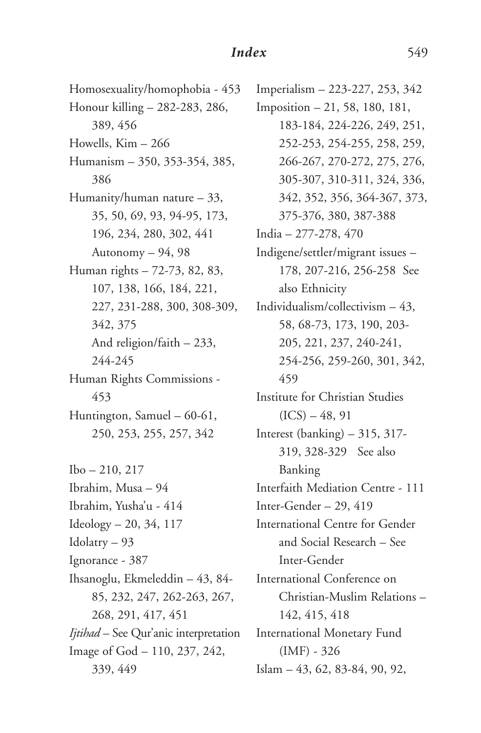Homosexuality/homophobia - 453 Honour killing – 282-283, 286, 389, 456 Howells,  $Kim - 266$ Humanism – 350, 353-354, 385, 386 Humanity/human nature – 33, 35, 50, 69, 93, 94-95, 173, 196, 234, 280, 302, 441 Autonomy – 94, 98 Human rights – 72-73, 82, 83, 107, 138, 166, 184, 221, 227, 231-288, 300, 308-309, 342, 375 And religion/faith – 233, 244-245 Human Rights Commissions - 453 Huntington, Samuel – 60-61, 250, 253, 255, 257, 342

Ibo – 210, 217 Ibrahim, Musa – 94 Ibrahim, Yusha'u - 414 Ideology – 20, 34, 117 Idolatry – 93 Ignorance - 387 Ihsanoglu, Ekmeleddin – 43, 84- 85, 232, 247, 262-263, 267, 268, 291, 417, 451 *Ijtihad* – See Qur'anic interpretation Image of God – 110, 237, 242, 339, 449

Imperialism – 223-227, 253, 342 Imposition – 21, 58, 180, 181, 183-184, 224-226, 249, 251, 252-253, 254-255, 258, 259, 266-267, 270-272, 275, 276, 305-307, 310-311, 324, 336, 342, 352, 356, 364-367, 373, 375-376, 380, 387-388 India – 277-278, 470 Indigene/settler/migrant issues – 178, 207-216, 256-258 See also Ethnicity Individualism/collectivism – 43, 58, 68-73, 173, 190, 203- 205, 221, 237, 240-241, 254-256, 259-260, 301, 342, 459 Institute for Christian Studies  $(ICS) - 48, 91$ Interest (banking) – 315, 317- 319, 328-329 See also Banking Interfaith Mediation Centre - 111 Inter-Gender – 29, 419 International Centre for Gender and Social Research – See Inter-Gender International Conference on Christian-Muslim Relations – 142, 415, 418 International Monetary Fund (IMF) - 326 Islam – 43, 62, 83-84, 90, 92,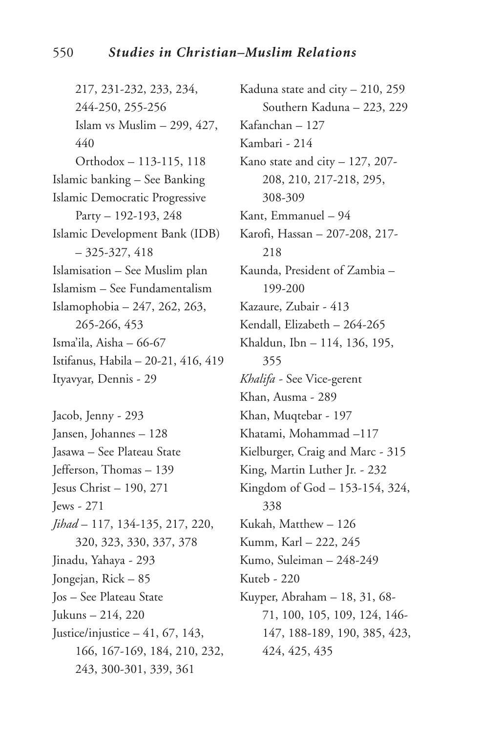217, 231-232, 233, 234, 244-250, 255-256 Islam vs Muslim – 299, 427, 440 Orthodox – 113-115, 118 Islamic banking – See Banking Islamic Democratic Progressive Party – 192-193, 248 Islamic Development Bank (IDB)  $-325-327, 418$ Islamisation – See Muslim plan Islamism – See Fundamentalism Islamophobia – 247, 262, 263, 265-266, 453 Isma'ila, Aisha – 66-67 Istifanus, Habila – 20-21, 416, 419 Ityavyar, Dennis - 29 Jacob, Jenny - 293

Jansen, Johannes – 128 Jasawa – See Plateau State Jefferson, Thomas – 139 Jesus Christ – 190, 271 Jews - 271 *Jihad* – 117, 134-135, 217, 220, 320, 323, 330, 337, 378 Jinadu, Yahaya - 293 Jongejan, Rick – 85 Jos – See Plateau State Jukuns – 214, 220 Justice/injustice  $-41, 67, 143,$ 166, 167-169, 184, 210, 232, 243, 300-301, 339, 361

Kaduna state and city – 210, 259 Southern Kaduna – 223, 229 Kafanchan – 127 Kambari - 214 Kano state and city – 127, 207- 208, 210, 217-218, 295, 308-309 Kant, Emmanuel – 94 Karofi, Hassan – 207-208, 217- 218 Kaunda, President of Zambia – 199-200 Kazaure, Zubair - 413 Kendall, Elizabeth – 264-265 Khaldun, Ibn – 114, 136, 195, 355 *Khalifa -* See Vice-gerent Khan, Ausma - 289 Khan, Muqtebar - 197 Khatami, Mohammad –117 Kielburger, Craig and Marc - 315 King, Martin Luther Jr. - 232 Kingdom of God – 153-154, 324, 338 Kukah, Matthew – 126 Kumm, Karl – 222, 245 Kumo, Suleiman – 248-249 Kuteb - 220 Kuyper, Abraham – 18, 31, 68- 71, 100, 105, 109, 124, 146- 147, 188-189, 190, 385, 423, 424, 425, 435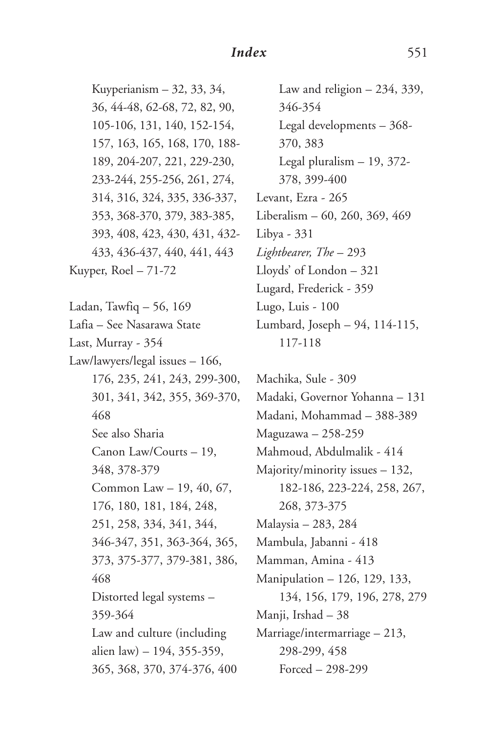Kuyperianism – 32, 33, 34, 36, 44-48, 62-68, 72, 82, 90, 105-106, 131, 140, 152-154, 157, 163, 165, 168, 170, 188- 189, 204-207, 221, 229-230, 233-244, 255-256, 261, 274, 314, 316, 324, 335, 336-337, 353, 368-370, 379, 383-385, 393, 408, 423, 430, 431, 432- 433, 436-437, 440, 441, 443 Kuyper, Roel – 71-72

Ladan, Tawfiq – 56, 169 Lafia – See Nasarawa State Last, Murray - 354 Law/lawyers/legal issues – 166, 176, 235, 241, 243, 299-300, 301, 341, 342, 355, 369-370, 468 See also Sharia Canon Law/Courts – 19, 348, 378-379 Common Law – 19, 40, 67, 176, 180, 181, 184, 248, 251, 258, 334, 341, 344, 346-347, 351, 363-364, 365, 373, 375-377, 379-381, 386, 468 Distorted legal systems – 359-364 Law and culture (including alien law) – 194, 355-359, 365, 368, 370, 374-376, 400

Law and religion – 234, 339, 346-354 Legal developments – 368- 370, 383 Legal pluralism – 19, 372- 378, 399-400 Levant, Ezra - 265 Liberalism – 60, 260, 369, 469 Libya - 331 *Lightbearer, The* – 293 Lloyds' of London – 321 Lugard, Frederick - 359 Lugo, Luis - 100 Lumbard, Joseph – 94, 114-115, 117-118

Machika, Sule - 309 Madaki, Governor Yohanna – 131 Madani, Mohammad – 388-389 Maguzawa – 258-259 Mahmoud, Abdulmalik - 414 Majority/minority issues – 132, 182-186, 223-224, 258, 267, 268, 373-375 Malaysia – 283, 284 Mambula, Jabanni - 418 Mamman, Amina - 413 Manipulation – 126, 129, 133, 134, 156, 179, 196, 278, 279 Manji, Irshad – 38 Marriage/intermarriage – 213, 298-299, 458 Forced – 298-299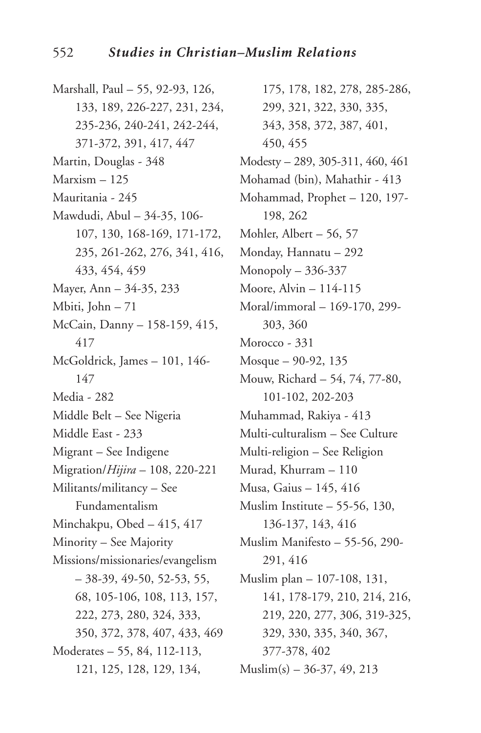Marshall, Paul – 55, 92-93, 126, 133, 189, 226-227, 231, 234, 235-236, 240-241, 242-244, 371-372, 391, 417, 447 Martin, Douglas - 348 Marxism – 125 Mauritania - 245 Mawdudi, Abul – 34-35, 106- 107, 130, 168-169, 171-172, 235, 261-262, 276, 341, 416, 433, 454, 459 Mayer, Ann – 34-35, 233 Mbiti, John – 71 McCain, Danny – 158-159, 415, 417 McGoldrick, James – 101, 146- 147 Media - 282 Middle Belt – See Nigeria Middle East - 233 Migrant – See Indigene Migration/*Hijira* – 108, 220-221 Militants/militancy – See Fundamentalism Minchakpu, Obed – 415, 417 Minority – See Majority Missions/missionaries/evangelism  $-38-39, 49-50, 52-53, 55,$ 68, 105-106, 108, 113, 157, 222, 273, 280, 324, 333, 350, 372, 378, 407, 433, 469 Moderates – 55, 84, 112-113, 121, 125, 128, 129, 134,

175, 178, 182, 278, 285-286, 299, 321, 322, 330, 335, 343, 358, 372, 387, 401, 450, 455 Modesty – 289, 305-311, 460, 461 Mohamad (bin), Mahathir - 413 Mohammad, Prophet – 120, 197- 198, 262 Mohler, Albert – 56, 57 Monday, Hannatu – 292 Monopoly – 336-337 Moore, Alvin – 114-115 Moral/immoral – 169-170, 299- 303, 360 Morocco - 331 Mosque – 90-92, 135 Mouw, Richard – 54, 74, 77-80, 101-102, 202-203 Muhammad, Rakiya - 413 Multi-culturalism – See Culture Multi-religion – See Religion Murad, Khurram – 110 Musa, Gaius – 145, 416 Muslim Institute – 55-56, 130, 136-137, 143, 416 Muslim Manifesto – 55-56, 290- 291, 416 Muslim plan – 107-108, 131, 141, 178-179, 210, 214, 216, 219, 220, 277, 306, 319-325, 329, 330, 335, 340, 367, 377-378, 402  $Muslim(s) - 36-37, 49, 213$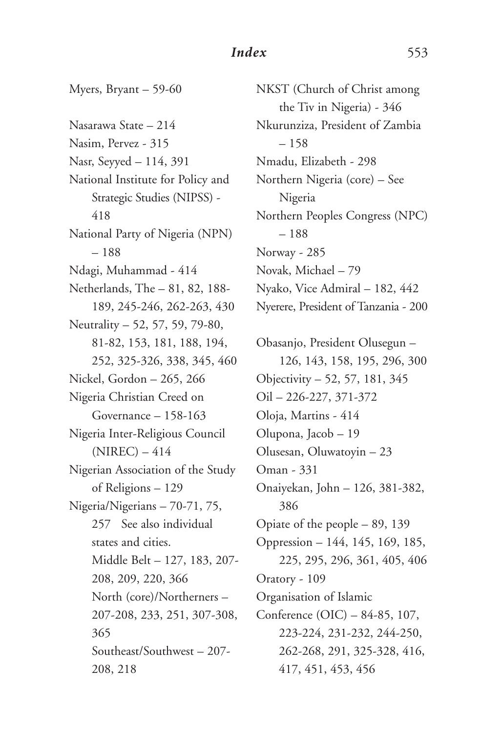Myers, Bryant – 59-60 Nasarawa State – 214 Nasim, Pervez - 315 Nasr, Seyyed – 114, 391 National Institute for Policy and Strategic Studies (NIPSS) - 418 National Party of Nigeria (NPN) – 188 Ndagi, Muhammad - 414 Netherlands, The – 81, 82, 188- 189, 245-246, 262-263, 430 Neutrality – 52, 57, 59, 79-80, 81-82, 153, 181, 188, 194, 252, 325-326, 338, 345, 460 Nickel, Gordon – 265, 266 Nigeria Christian Creed on Governance – 158-163 Nigeria Inter-Religious Council  $(NIREC) - 414$ Nigerian Association of the Study of Religions – 129 Nigeria/Nigerians – 70-71, 75, 257 See also individual states and cities. Middle Belt – 127, 183, 207- 208, 209, 220, 366 North (core)/Northerners – 207-208, 233, 251, 307-308, 365 Southeast/Southwest – 207- 208, 218

NKST (Church of Christ among the Tiv in Nigeria) - 346 Nkurunziza, President of Zambia – 158 Nmadu, Elizabeth - 298 Northern Nigeria (core) – See Nigeria Northern Peoples Congress (NPC) – 188 Norway - 285 Novak, Michael – 79 Nyako, Vice Admiral – 182, 442 Nyerere, President of Tanzania - 200

Obasanjo, President Olusegun – 126, 143, 158, 195, 296, 300 Objectivity – 52, 57, 181, 345 Oil – 226-227, 371-372 Oloja, Martins - 414 Olupona, Jacob – 19 Olusesan, Oluwatoyin – 23 Oman - 331 Onaiyekan, John – 126, 381-382, 386 Opiate of the people – 89, 139 Oppression – 144, 145, 169, 185, 225, 295, 296, 361, 405, 406 Oratory - 109 Organisation of Islamic Conference (OIC) – 84-85, 107, 223-224, 231-232, 244-250, 262-268, 291, 325-328, 416, 417, 451, 453, 456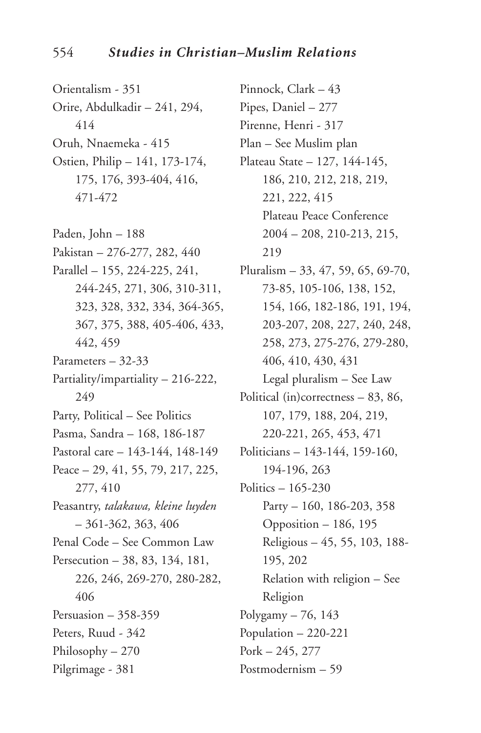Orientalism - 351 Orire, Abdulkadir – 241, 294, 414 Oruh, Nnaemeka - 415 Ostien, Philip – 141, 173-174, 175, 176, 393-404, 416, 471-472

Paden, John – 188 Pakistan – 276-277, 282, 440 Parallel – 155, 224-225, 241, 244-245, 271, 306, 310-311, 323, 328, 332, 334, 364-365, 367, 375, 388, 405-406, 433, 442, 459 Parameters – 32-33 Partiality/impartiality – 216-222, 249 Party, Political – See Politics Pasma, Sandra – 168, 186-187 Pastoral care – 143-144, 148-149 Peace – 29, 41, 55, 79, 217, 225, 277, 410 Peasantry, *talakawa, kleine luyden* – 361-362, 363, 406 Penal Code – See Common Law Persecution – 38, 83, 134, 181, 226, 246, 269-270, 280-282, 406 Persuasion – 358-359 Peters, Ruud - 342 Philosophy – 270 Pilgrimage - 381

Pinnock, Clark – 43 Pipes, Daniel – 277 Pirenne, Henri - 317 Plan – See Muslim plan Plateau State – 127, 144-145, 186, 210, 212, 218, 219, 221, 222, 415 Plateau Peace Conference 2004 – 208, 210-213, 215, 219 Pluralism – 33, 47, 59, 65, 69-70, 73-85, 105-106, 138, 152, 154, 166, 182-186, 191, 194, 203-207, 208, 227, 240, 248, 258, 273, 275-276, 279-280, 406, 410, 430, 431 Legal pluralism – See Law Political (in)correctness – 83, 86, 107, 179, 188, 204, 219, 220-221, 265, 453, 471 Politicians – 143-144, 159-160, 194-196, 263 Politics – 165-230 Party – 160, 186-203, 358 Opposition – 186, 195 Religious – 45, 55, 103, 188- 195, 202 Relation with religion – See Religion Polygamy – 76, 143 Population – 220-221 Pork – 245, 277 Postmodernism – 59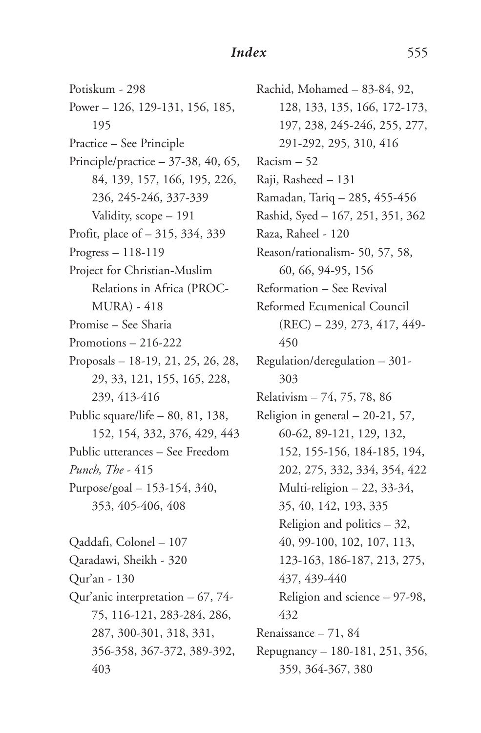Potiskum - 298 Power – 126, 129-131, 156, 185, 195 Practice – See Principle Principle/practice  $-37-38$ , 40, 65, 84, 139, 157, 166, 195, 226, 236, 245-246, 337-339 Validity, scope – 191 Profit, place of – 315, 334, 339 Progress – 118-119 Project for Christian-Muslim Relations in Africa (PROC-MURA) - 418 Promise – See Sharia Promotions – 216-222 Proposals – 18-19, 21, 25, 26, 28, 29, 33, 121, 155, 165, 228, 239, 413-416 Public square/life – 80, 81, 138, 152, 154, 332, 376, 429, 443 Public utterances – See Freedom *Punch, The* - 415 Purpose/goal – 153-154, 340, 353, 405-406, 408 Qaddafi, Colonel – 107 Qaradawi, Sheikh - 320 Qur'an - 130 Qur'anic interpretation – 67, 74- 75, 116-121, 283-284, 286, 287, 300-301, 318, 331, 356-358, 367-372, 389-392, 403

Rachid, Mohamed – 83-84, 92, 128, 133, 135, 166, 172-173, 197, 238, 245-246, 255, 277, 291-292, 295, 310, 416 Racism – 52 Raji, Rasheed – 131 Ramadan, Tariq – 285, 455-456 Rashid, Syed – 167, 251, 351, 362 Raza, Raheel - 120 Reason/rationalism- 50, 57, 58, 60, 66, 94-95, 156 Reformation – See Revival Reformed Ecumenical Council (REC) – 239, 273, 417, 449- 450 Regulation/deregulation – 301- 303 Relativism – 74, 75, 78, 86 Religion in general – 20-21, 57, 60-62, 89-121, 129, 132, 152, 155-156, 184-185, 194, 202, 275, 332, 334, 354, 422 Multi-religion – 22, 33-34, 35, 40, 142, 193, 335 Religion and politics – 32, 40, 99-100, 102, 107, 113, 123-163, 186-187, 213, 275, 437, 439-440 Religion and science – 97-98, 432 Renaissance – 71, 84 Repugnancy – 180-181, 251, 356, 359, 364-367, 380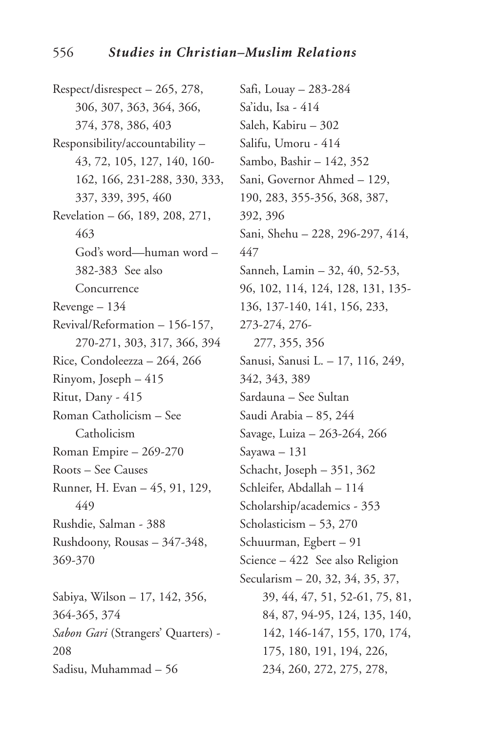Respect/disrespect – 265, 278, 306, 307, 363, 364, 366, 374, 378, 386, 403 Responsibility/accountability – 43, 72, 105, 127, 140, 160- 162, 166, 231-288, 330, 333, 337, 339, 395, 460 Revelation – 66, 189, 208, 271, 463 God's word—human word – 382-383 See also Concurrence Revenge – 134 Revival/Reformation – 156-157, 270-271, 303, 317, 366, 394 Rice, Condoleezza – 264, 266 Rinyom, Joseph – 415 Ritut, Dany - 415 Roman Catholicism – See Catholicism Roman Empire – 269-270 Roots – See Causes Runner, H. Evan – 45, 91, 129, 449 Rushdie, Salman - 388 Rushdoony, Rousas – 347-348, 369-370 Sabiya, Wilson – 17, 142, 356, 364-365, 374 *Sabon Gari* (Strangers' Quarters) - 208

Sadisu, Muhammad – 56

Safi, Louay – 283-284 Sa'idu, Isa - 414 Saleh, Kabiru – 302 Salifu, Umoru - 414 Sambo, Bashir – 142, 352 Sani, Governor Ahmed – 129, 190, 283, 355-356, 368, 387, 392, 396 Sani, Shehu – 228, 296-297, 414, 447 Sanneh, Lamin – 32, 40, 52-53, 96, 102, 114, 124, 128, 131, 135- 136, 137-140, 141, 156, 233, 273-274, 276- 277, 355, 356 Sanusi, Sanusi L. – 17, 116, 249, 342, 343, 389 Sardauna – See Sultan Saudi Arabia – 85, 244 Savage, Luiza – 263-264, 266 Sayawa – 131 Schacht, Joseph – 351, 362 Schleifer, Abdallah – 114 Scholarship/academics - 353 Scholasticism – 53, 270 Schuurman, Egbert – 91 Science – 422 See also Religion Secularism – 20, 32, 34, 35, 37, 39, 44, 47, 51, 52-61, 75, 81, 84, 87, 94-95, 124, 135, 140, 142, 146-147, 155, 170, 174, 175, 180, 191, 194, 226, 234, 260, 272, 275, 278,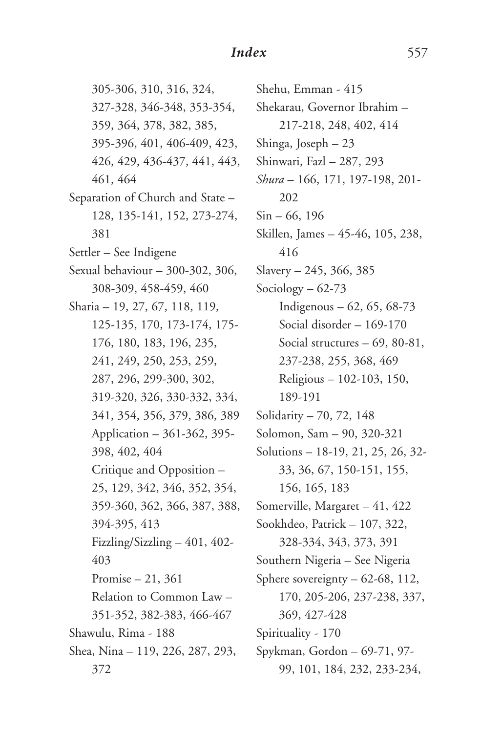305-306, 310, 316, 324, 327-328, 346-348, 353-354, 359, 364, 378, 382, 385, 395-396, 401, 406-409, 423, 426, 429, 436-437, 441, 443, 461, 464 Separation of Church and State – 128, 135-141, 152, 273-274, 381 Settler – See Indigene Sexual behaviour – 300-302, 306, 308-309, 458-459, 460 Sharia – 19, 27, 67, 118, 119, 125-135, 170, 173-174, 175- 176, 180, 183, 196, 235, 241, 249, 250, 253, 259, 287, 296, 299-300, 302, 319-320, 326, 330-332, 334, 341, 354, 356, 379, 386, 389 Application – 361-362, 395- 398, 402, 404 Critique and Opposition – 25, 129, 342, 346, 352, 354, 359-360, 362, 366, 387, 388, 394-395, 413 Fizzling/Sizzling – 401, 402- 403 Promise – 21, 361 Relation to Common Law – 351-352, 382-383, 466-467 Shawulu, Rima - 188 Shea, Nina – 119, 226, 287, 293, 372

Shehu, Emman - 415 Shekarau, Governor Ibrahim – 217-218, 248, 402, 414 Shinga, Joseph – 23 Shinwari, Fazl – 287, 293 *Shura* – 166, 171, 197-198, 201- 202 Sin – 66, 196 Skillen, James – 45-46, 105, 238, 416 Slavery – 245, 366, 385 Sociology – 62-73 Indigenous – 62, 65, 68-73 Social disorder – 169-170 Social structures – 69, 80-81, 237-238, 255, 368, 469 Religious – 102-103, 150, 189-191 Solidarity – 70, 72, 148 Solomon, Sam – 90, 320-321 Solutions – 18-19, 21, 25, 26, 32- 33, 36, 67, 150-151, 155, 156, 165, 183 Somerville, Margaret – 41, 422 Sookhdeo, Patrick – 107, 322, 328-334, 343, 373, 391 Southern Nigeria – See Nigeria Sphere sovereignty – 62-68, 112, 170, 205-206, 237-238, 337, 369, 427-428 Spirituality - 170 Spykman, Gordon – 69-71, 97- 99, 101, 184, 232, 233-234,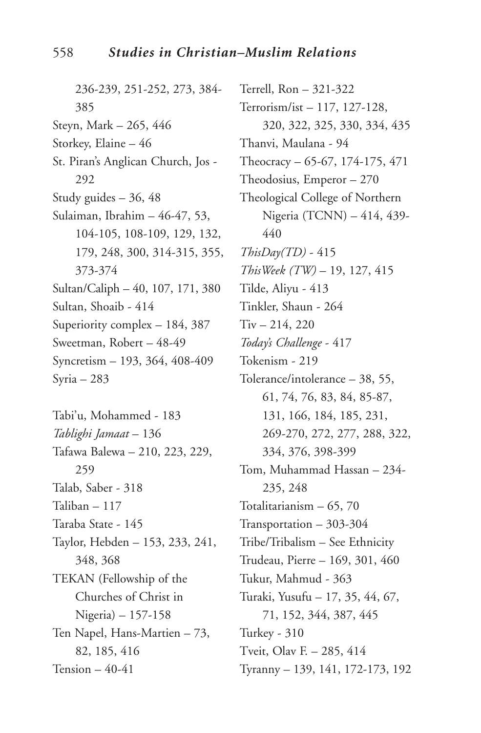236-239, 251-252, 273, 384- 385 Steyn, Mark – 265, 446 Storkey, Elaine – 46 St. Piran's Anglican Church, Jos - 292 Study guides – 36, 48 Sulaiman, Ibrahim – 46-47, 53, 104-105, 108-109, 129, 132, 179, 248, 300, 314-315, 355, 373-374 Sultan/Caliph – 40, 107, 171, 380 Sultan, Shoaib - 414 Superiority complex – 184, 387 Sweetman, Robert – 48-49 Syncretism – 193, 364, 408-409 Syria – 283

Tabi'u, Mohammed - 183 *Tablighi Jamaat* – 136 Tafawa Balewa – 210, 223, 229, 259 Talab, Saber - 318 Taliban – 117 Taraba State - 145 Taylor, Hebden – 153, 233, 241, 348, 368 TEKAN (Fellowship of the Churches of Christ in Nigeria) – 157-158 Ten Napel, Hans-Martien – 73, 82, 185, 416 Tension – 40-41

Terrell, Ron – 321-322 Terrorism/ist – 117, 127-128, 320, 322, 325, 330, 334, 435 Thanvi, Maulana - 94 Theocracy – 65-67, 174-175, 471 Theodosius, Emperor – 270 Theological College of Northern Nigeria (TCNN) – 414, 439- 440 *ThisDay(TD)* - 415 *ThisWeek (TW)* – 19, 127, 415 Tilde, Aliyu - 413 Tinkler, Shaun - 264 Tiv – 214, 220 *Today's Challenge* - 417 Tokenism - 219 Tolerance/intolerance – 38, 55, 61, 74, 76, 83, 84, 85-87, 131, 166, 184, 185, 231, 269-270, 272, 277, 288, 322, 334, 376, 398-399 Tom, Muhammad Hassan – 234- 235, 248 Totalitarianism – 65, 70 Transportation – 303-304 Tribe/Tribalism – See Ethnicity Trudeau, Pierre – 169, 301, 460 Tukur, Mahmud - 363 Turaki, Yusufu – 17, 35, 44, 67, 71, 152, 344, 387, 445 Turkey - 310 Tveit, Olav F. – 285, 414 Tyranny – 139, 141, 172-173, 192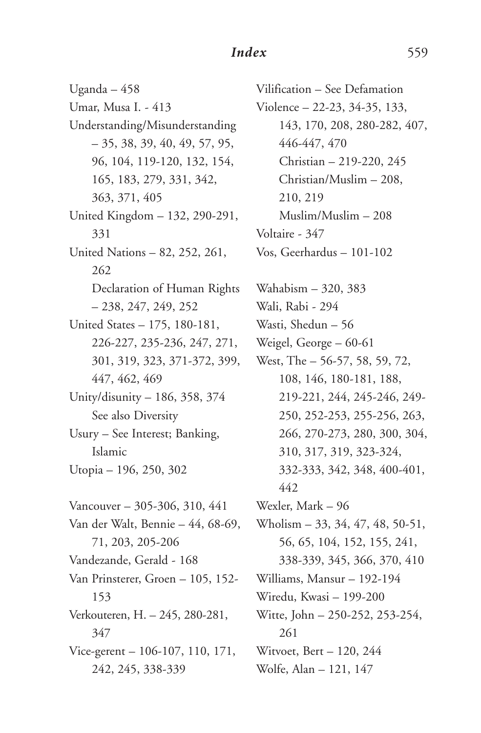Uganda – 458 Umar, Musa I. - 413 Understanding/Misunderstanding  $-35, 38, 39, 40, 49, 57, 95,$ 96, 104, 119-120, 132, 154, 165, 183, 279, 331, 342, 363, 371, 405 United Kingdom – 132, 290-291, 331 United Nations – 82, 252, 261, 262 Declaration of Human Rights – 238, 247, 249, 252 United States – 175, 180-181, 226-227, 235-236, 247, 271, 301, 319, 323, 371-372, 399, 447, 462, 469 Unity/disunity – 186, 358, 374 See also Diversity Usury – See Interest; Banking, Islamic Utopia – 196, 250, 302 Vancouver – 305-306, 310, 441 Van der Walt, Bennie – 44, 68-69, 71, 203, 205-206 Vandezande, Gerald - 168 Van Prinsterer, Groen – 105, 152- 153 Verkouteren, H. – 245, 280-281, 347 Vice-gerent – 106-107, 110, 171, 242, 245, 338-339

Vilification – See Defamation Violence – 22-23, 34-35, 133, 143, 170, 208, 280-282, 407, 446-447, 470 Christian – 219-220, 245 Christian/Muslim – 208, 210, 219 Muslim/Muslim – 208 Voltaire - 347 Vos, Geerhardus – 101-102 Wahabism – 320, 383 Wali, Rabi - 294 Wasti, Shedun – 56 Weigel, George – 60-61 West, The – 56-57, 58, 59, 72, 108, 146, 180-181, 188, 219-221, 244, 245-246, 249- 250, 252-253, 255-256, 263, 266, 270-273, 280, 300, 304, 310, 317, 319, 323-324, 332-333, 342, 348, 400-401, 442 Wexler, Mark – 96 Wholism – 33, 34, 47, 48, 50-51, 56, 65, 104, 152, 155, 241, 338-339, 345, 366, 370, 410 Williams, Mansur – 192-194 Wiredu, Kwasi – 199-200 Witte, John – 250-252, 253-254, 261 Witvoet, Bert – 120, 244 Wolfe, Alan – 121, 147